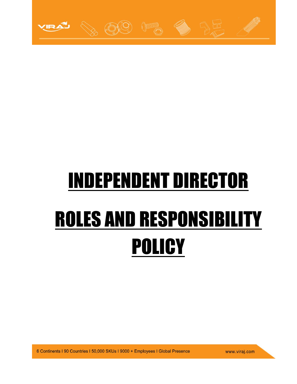

## INDEPENDENT DIRECTOR ROLES AND RESPONSIBILITY **POLICY**

6 Continents | 90 Countries | 50,000 SKUs | 9000 + Employees | Global Presence

www.viraj.com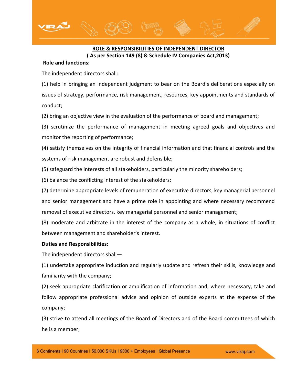## **ROLE & RESPONSIBILITIES OF INDEPENDENT DIRECTOR ( As per Section 149 (8) & Schedule IV Companies Act,2013)**

## **Role and functions:**

The independent directors shall:

(1) help in bringing an independent judgment to bear on the Board's deliberations especially on issues of strategy, performance, risk management, resources, key appointments and standards of conduct;

(2) bring an objective view in the evaluation of the performance of board and management;

(3) scrutinize the performance of management in meeting agreed goals and objectives and monitor the reporting of performance;

(4) satisfy themselves on the integrity of financial information and that financial controls and the systems of risk management are robust and defensible;

(5) safeguard the interests of all stakeholders, particularly the minority shareholders;

(6) balance the conflicting interest of the stakeholders;

(7) determine appropriate levels of remuneration of executive directors, key managerial personnel and senior management and have a prime role in appointing and where necessary recommend removal of executive directors, key managerial personnel and senior management;

(8) moderate and arbitrate in the interest of the company as a whole, in situations of conflict between management and shareholder's interest.

## **Duties and Responsibilities:**

The independent directors shall—

(1) undertake appropriate induction and regularly update and refresh their skills, knowledge and familiarity with the company;

(2) seek appropriate clarification or amplification of information and, where necessary, take and follow appropriate professional advice and opinion of outside experts at the expense of the company;

(3) strive to attend all meetings of the Board of Directors and of the Board committees of which he is a member;